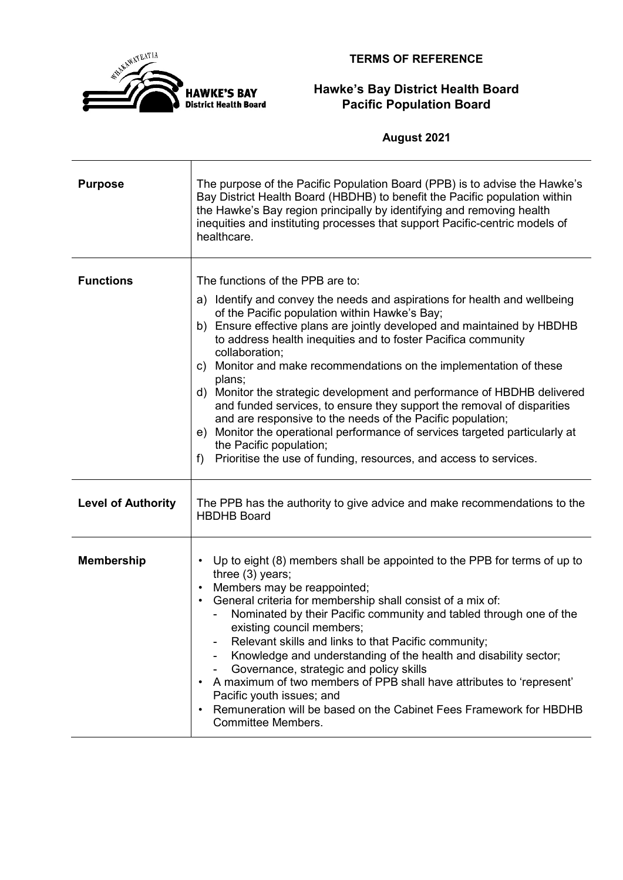

**TERMS OF REFERENCE**

## **Hawke's Bay District Health Board Pacific Population Board**

**August 2021**

| <b>Purpose</b>            | The purpose of the Pacific Population Board (PPB) is to advise the Hawke's<br>Bay District Health Board (HBDHB) to benefit the Pacific population within<br>the Hawke's Bay region principally by identifying and removing health<br>inequities and instituting processes that support Pacific-centric models of<br>healthcare.                                                                                                                                                                                                                                                                                                                                                                                                                                                                                      |
|---------------------------|----------------------------------------------------------------------------------------------------------------------------------------------------------------------------------------------------------------------------------------------------------------------------------------------------------------------------------------------------------------------------------------------------------------------------------------------------------------------------------------------------------------------------------------------------------------------------------------------------------------------------------------------------------------------------------------------------------------------------------------------------------------------------------------------------------------------|
| <b>Functions</b>          | The functions of the PPB are to:<br>a) Identify and convey the needs and aspirations for health and wellbeing<br>of the Pacific population within Hawke's Bay;<br>b) Ensure effective plans are jointly developed and maintained by HBDHB<br>to address health inequities and to foster Pacifica community<br>collaboration;<br>c) Monitor and make recommendations on the implementation of these<br>plans;<br>d) Monitor the strategic development and performance of HBDHB delivered<br>and funded services, to ensure they support the removal of disparities<br>and are responsive to the needs of the Pacific population;<br>e) Monitor the operational performance of services targeted particularly at<br>the Pacific population;<br>Prioritise the use of funding, resources, and access to services.<br>f) |
| <b>Level of Authority</b> | The PPB has the authority to give advice and make recommendations to the<br><b>HBDHB Board</b>                                                                                                                                                                                                                                                                                                                                                                                                                                                                                                                                                                                                                                                                                                                       |
| <b>Membership</b>         | • Up to eight (8) members shall be appointed to the PPB for terms of up to<br>three (3) years;<br>Members may be reappointed;<br>$\bullet$<br>General criteria for membership shall consist of a mix of:<br>$\bullet$<br>Nominated by their Pacific community and tabled through one of the<br>existing council members;<br>Relevant skills and links to that Pacific community;<br>Knowledge and understanding of the health and disability sector;<br>Governance, strategic and policy skills<br>A maximum of two members of PPB shall have attributes to 'represent'<br>$\bullet$<br>Pacific youth issues; and<br>Remuneration will be based on the Cabinet Fees Framework for HBDHB<br>$\bullet$<br><b>Committee Members.</b>                                                                                    |